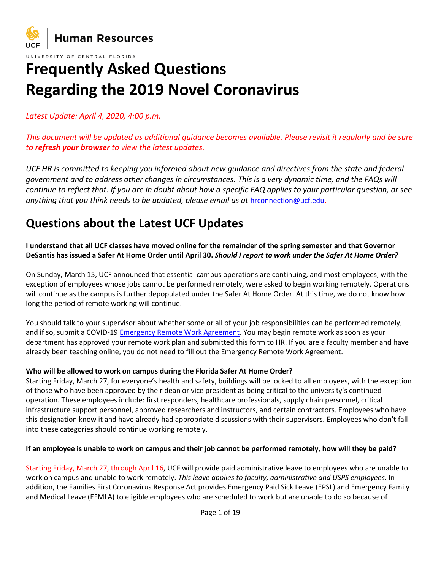

#### UNIVERSITY OF CENTRAL FLORIDA

# **Frequently Asked Questions Regarding the 2019 Novel Coronavirus**

*Latest Update: April 4, 2020, 4:00 p.m.*

*This document will be updated as additional guidance becomes available. Please revisit it regularly and be sure to refresh your browser to view the latest updates.*

*UCF HR is committed to keeping you informed about new guidance and directives from the state and federal government and to address other changes in circumstances. This is a very dynamic time, and the FAQs will continue to reflect that. If you are in doubt about how a specific FAQ applies to your particular question, or see anything that you think needs to be updated, please email us at* [hrconnection@ucf.edu](mailto:hrconnection@ucf.edu).

## **Questions about the Latest UCF Updates**

**I understand that all UCF classes have moved online for the remainder of the spring semester and that Governor DeSantis has issued a Safer At Home Order until April 30.** *Should I report to work under the Safer At Home Order?*

On Sunday, March 15, UCF announced that essential campus operations are continuing, and most employees, with the exception of employees whose jobs cannot be performed remotely, were asked to begin working remotely. Operations will continue as the campus is further depopulated under the Safer At Home Order. At this time, we do not know how long the period of remote working will continue.

You should talk to your supervisor about whether some or all of your job responsibilities can be performed remotely, and if so, submit a COVID-19 [Emergency Remote Work Agreement.](https://hr.ucf.edu/files/COVID19-Remote-Work-Agreement.pdf) You may begin remote work as soon as your department has approved your remote work plan and submitted this form to HR. If you are a faculty member and have already been teaching online, you do not need to fill out the Emergency Remote Work Agreement.

#### **Who will be allowed to work on campus during the Florida Safer At Home Order?**

[Starting Friday, March 27,](x-apple-data-detectors://2/) for everyone's health and safety, buildings will be locked to all employees, with the exception of those who have been approved by their dean or vice president as being critical to the university's continued operation. These employees include: first responders, healthcare professionals, supply chain personnel, critical infrastructure support personnel, approved researchers and instructors, and certain contractors. Employees who have this designation know it and have already had appropriate discussions with their supervisors. Employees who don't fall into these categories should continue working remotely.

#### **If an employee is unable to work on campus and their job cannot be performed remotely, how will they be paid?**

Starting Friday, March 27, through April 16, UCF will provide paid administrative leave to employees who are unable to work on campus and unable to work remotely. *This leave applies to faculty, administrative and USPS employees.* In addition, the Families First Coronavirus Response Act provides Emergency Paid Sick Leave (EPSL) and Emergency Family and Medical Leave (EFMLA) to eligible employees who are scheduled to work but are unable to do so because of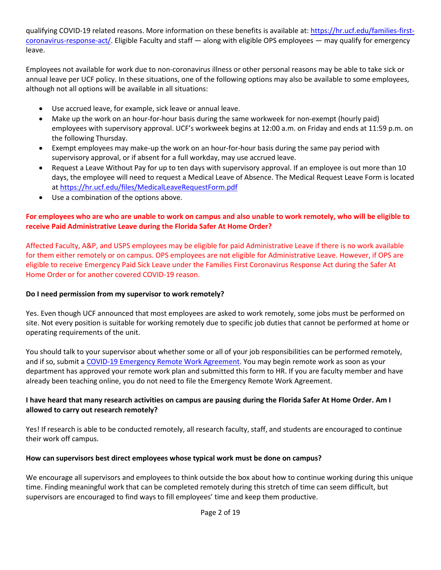qualifying COVID-19 related reasons. More information on these benefits is available at: [https://hr.ucf.edu/families-first](https://hr.ucf.edu/families-first-coronavirus-response-act/)[coronavirus-response-act/.](https://hr.ucf.edu/families-first-coronavirus-response-act/) Eligible Faculty and staff — along with eligible OPS employees — may qualify for emergency leave.

Employees not available for work due to non-coronavirus illness or other personal reasons may be able to take sick or annual leave per UCF policy. In these situations, one of the following options may also be available to some employees, although not all options will be available in all situations:

- Use accrued leave, for example, sick leave or annual leave.
- Make up the work on an hour-for-hour basis during the same workweek for non-exempt (hourly paid) employees with supervisory approval. UCF's workweek begins at 12:00 a.m. on Friday and ends at 11:59 p.m. on the following Thursday.
- Exempt employees may make-up the work on an hour-for-hour basis during the same pay period with supervisory approval, or if absent for a full workday, may use accrued leave.
- Request a Leave Without Pay for up to ten days with supervisory approval. If an employee is out more than 10 days, the employee will need to request a Medical Leave of Absence. The Medical Request Leave Form is located at <https://hr.ucf.edu/files/MedicalLeaveRequestForm.pdf>
- Use a combination of the options above.

#### **For employees who are who are unable to work on campus and also unable to work remotely, who will be eligible to receive Paid Administrative Leave during the Florida Safer At Home Order?**

Affected Faculty, A&P, and USPS employees may be eligible for paid Administrative Leave if there is no work available for them either remotely or on campus. OPS employees are not eligible for Administrative Leave. However, if OPS are eligible to receive Emergency Paid Sick Leave under the Families First Coronavirus Response Act during the Safer At Home Order or for another covered COVID-19 reason.

#### **Do I need permission from my supervisor to work remotely?**

Yes. Even though UCF announced that most employees are asked to work remotely, some jobs must be performed on site. Not every position is suitable for working remotely due to specific job duties that cannot be performed at home or operating requirements of the unit.

You should talk to your supervisor about whether some or all of your job responsibilities can be performed remotely, and if so, submit a [COVID-19 Emergency Remote Work Agreement.](https://hr.ucf.edu/files/COVID19-Remote-Work-Agreement.pdf) You may begin remote work as soon as your department has approved your remote work plan and submitted this form to HR. If you are faculty member and have already been teaching online, you do not need to file the Emergency Remote Work Agreement.

#### **I have heard that many research activities on campus are pausing during the Florida Safer At Home Order. Am I allowed to carry out research remotely?**

Yes! If research is able to be conducted remotely, all research faculty, staff, and students are encouraged to continue their work off campus.

#### **How can supervisors best direct employees whose typical work must be done on campus?**

We encourage all supervisors and employees to think outside the box about how to continue working during this unique time. Finding meaningful work that can be completed remotely during this stretch of time can seem difficult, but supervisors are encouraged to find ways to fill employees' time and keep them productive.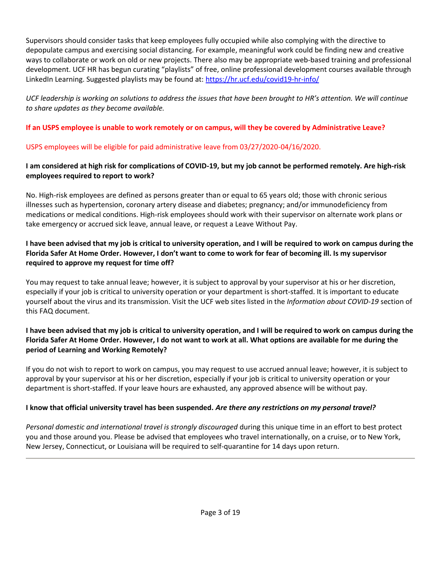Supervisors should consider tasks that keep employees fully occupied while also complying with the directive to depopulate campus and exercising social distancing. For example, meaningful work could be finding new and creative ways to collaborate or work on old or new projects. There also may be appropriate web-based training and professional development. UCF HR has begun curating "playlists" of free, online professional development courses available through LinkedIn Learning. Suggested playlists may be found at: <https://hr.ucf.edu/covid19-hr-info/>

*UCF leadership is working on solutions to address the issues that have been brought to HR's attention. We will continue to share updates as they become available.*

## **If an USPS employee is unable to work remotely or on campus, will they be covered by Administrative Leave?**

## USPS employees will be eligible for paid administrative leave from 03/27/2020-04/16/2020.

## **I am considered at high risk for complications of COVID-19, but my job cannot be performed remotely. Are high-risk employees required to report to work?**

No. High-risk employees are defined as persons greater than or equal to 65 years old; those with chronic serious illnesses such as hypertension, coronary artery disease and diabetes; pregnancy; and/or immunodeficiency from medications or medical conditions. High-risk employees should work with their supervisor on alternate work plans or take emergency or accrued sick leave, annual leave, or request a Leave Without Pay.

## **I have been advised that my job is critical to university operation, and I will be required to work on campus during the Florida Safer At Home Order. However, I don't want to come to work for fear of becoming ill. Is my supervisor required to approve my request for time off?**

You may request to take annual leave; however, it is subject to approval by your supervisor at his or her discretion, especially if your job is critical to university operation or your department is short-staffed. It is important to educate yourself about the virus and its transmission. Visit the UCF web sites listed in the *Information about COVID-19* section of this FAQ document.

## **I have been advised that my job is critical to university operation, and I will be required to work on campus during the Florida Safer At Home Order. However, I do not want to work at all. What options are available for me during the period of Learning and Working Remotely?**

If you do not wish to report to work on campus, you may request to use accrued annual leave; however, it is subject to approval by your supervisor at his or her discretion, especially if your job is critical to university operation or your department is short-staffed. If your leave hours are exhausted, any approved absence will be without pay.

## **I know that official university travel has been suspended.** *Are there any restrictions on my personal travel?*

*Personal domestic and international travel is strongly discouraged* during this unique time in an effort to best protect you and those around you. Please be advised that employees who travel internationally, on a cruise, or to New York, New Jersey, Connecticut, or Louisiana will be required to self-quarantine for 14 days upon return.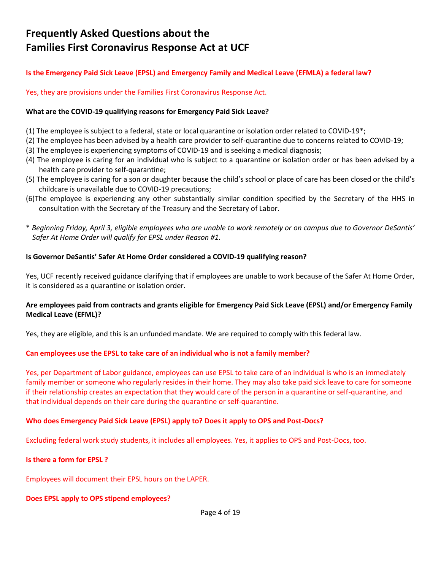## **Frequently Asked Questions about the Families First Coronavirus Response Act at UCF**

#### **Is the Emergency Paid Sick Leave (EPSL) and Emergency Family and Medical Leave (EFMLA) a federal law?**

Yes, they are provisions under the Families First Coronavirus Response Act.

#### **What are the COVID-19 qualifying reasons for Emergency Paid Sick Leave?**

- (1) The employee is subject to a federal, state or local quarantine or isolation order related to COVID-19\*;
- (2) The employee has been advised by a health care provider to self-quarantine due to concerns related to COVID-19;
- (3) The employee is experiencing symptoms of COVID-19 and is seeking a medical diagnosis;
- (4) The employee is caring for an individual who is subject to a quarantine or isolation order or has been advised by a health care provider to self-quarantine;
- (5) The employee is caring for a son or daughter because the child's school or place of care has been closed or the child's childcare is unavailable due to COVID-19 precautions;
- (6)The employee is experiencing any other substantially similar condition specified by the Secretary of the HHS in consultation with the Secretary of the Treasury and the Secretary of Labor.
- \* *Beginning Friday, April 3, eligible employees who are unable to work remotely or on campus due to Governor DeSantis' Safer At Home Order will qualify for EPSL under Reason #1.*

#### **Is Governor DeSantis' Safer At Home Order considered a COVID-19 qualifying reason?**

Yes, UCF recently received guidance clarifying that if employees are unable to work because of the Safer At Home Order, it is considered as a quarantine or isolation order.

#### **Are employees paid from contracts and grants eligible for Emergency Paid Sick Leave (EPSL) and/or Emergency Family Medical Leave (EFML)?**

Yes, they are eligible, and this is an unfunded mandate. We are required to comply with this federal law.

#### **Can employees use the EPSL to take care of an individual who is not a family member?**

Yes, per Department of Labor guidance, employees can use EPSL to take care of an individual is who is an immediately family member or someone who regularly resides in their home. They may also take paid sick leave to care for someone if their relationship creates an expectation that they would care of the person in a quarantine or self-quarantine, and that individual depends on their care during the quarantine or self-quarantine.

#### **Who does Emergency Paid Sick Leave (EPSL) apply to? Does it apply to OPS and Post-Docs?**

Excluding federal work study students, it includes all employees. Yes, it applies to OPS and Post-Docs, too.

#### **Is there a form for EPSL ?**

Employees will document their EPSL hours on the LAPER.

#### **Does EPSL apply to OPS stipend employees?**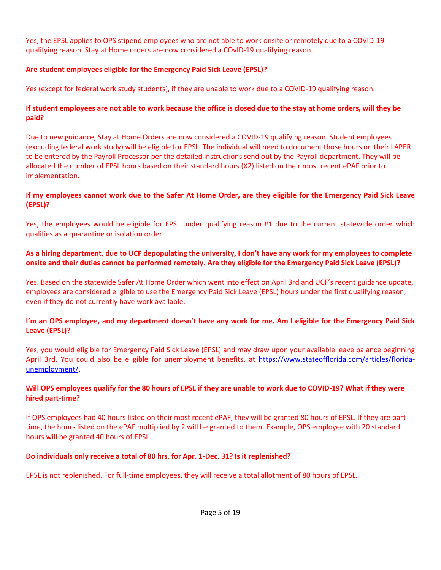Yes, the EPSL applies to OPS stipend employees who are not able to work onsite or remotely due to a COVID-19 qualifying reason. Stay at Home orders are now considered a COvID-19 qualifying reason.

## **Are student employees eligible for the Emergency Paid Sick Leave (EPSL)?**

Yes (except for federal work study students), if they are unable to work due to a COVID-19 qualifying reason.

#### **If student employees are not able to work because the office is closed due to the stay at home orders, will they be paid?**

Due to new guidance, Stay at Home Orders are now considered a COVID-19 qualifying reason. Student employees (excluding federal work study) will be eligible for EPSL. The individual will need to document those hours on their LAPER to be entered by the Payroll Processor per the detailed instructions send out by the Payroll department. They will be allocated the number of EPSL hours based on their standard hours (X2) listed on their most recent ePAF prior to implementation.

#### **If my employees cannot work due to the Safer At Home Order, are they eligible for the Emergency Paid Sick Leave (EPSL)?**

Yes, the employees would be eligible for EPSL under qualifying reason #1 due to the current statewide order which qualifies as a quarantine or isolation order.

#### **As a hiring department, due to UCF depopulating the university, I don't have any work for my employees to complete onsite and their duties cannot be performed remotely. Are they eligible for the Emergency Paid Sick Leave (EPSL)?**

Yes. Based on the statewide Safer At Home Order which went into effect on April 3rd and UCF's recent guidance update, employees are considered eligible to use the Emergency Paid Sick Leave (EPSL) hours under the first qualifying reason, even if they do not currently have work available.

## **I'm an OPS employee, and my department doesn't have any work for me. Am I eligible for the Emergency Paid Sick Leave (EPSL)?**

Yes, you would eligible for Emergency Paid Sick Leave (EPSL) and may draw upon your available leave balance beginning April 3rd. You could also be eligible for unemployment benefits, at [https://www.stateofflorida.com/articles/florida](https://www.stateofflorida.com/articles/florida-unemployment/)[unemployment/.](https://www.stateofflorida.com/articles/florida-unemployment/)

#### **Will OPS employees qualify for the 80 hours of EPSL if they are unable to work due to COVID-19? What if they were hired part-time?**

If OPS employees had 40 hours listed on their most recent ePAF, they will be granted 80 hours of EPSL. If they are part time, the hours listed on the ePAF multiplied by 2 will be granted to them. Example, OPS employee with 20 standard hours will be granted 40 hours of EPSL.

#### **Do individuals only receive a total of 80 hrs. for Apr. 1-Dec. 31? Is it replenished?**

EPSL is not replenished. For full-time employees, they will receive a total allotment of 80 hours of EPSL.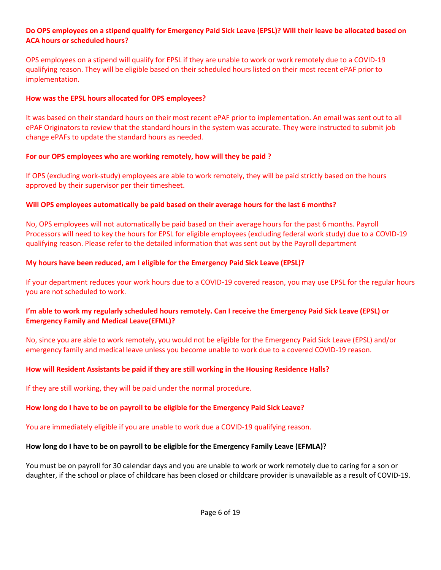#### **Do OPS employees on a stipend qualify for Emergency Paid Sick Leave (EPSL)? Will their leave be allocated based on ACA hours or scheduled hours?**

OPS employees on a stipend will qualify for EPSL if they are unable to work or work remotely due to a COVID-19 qualifying reason. They will be eligible based on their scheduled hours listed on their most recent ePAF prior to implementation.

#### **How was the EPSL hours allocated for OPS employees?**

It was based on their standard hours on their most recent ePAF prior to implementation. An email was sent out to all ePAF Originators to review that the standard hours in the system was accurate. They were instructed to submit job change ePAFs to update the standard hours as needed.

#### **For our OPS employees who are working remotely, how will they be paid ?**

If OPS (excluding work-study) employees are able to work remotely, they will be paid strictly based on the hours approved by their supervisor per their timesheet.

#### **Will OPS employees automatically be paid based on their average hours for the last 6 months?**

No, OPS employees will not automatically be paid based on their average hours for the past 6 months. Payroll Processors will need to key the hours for EPSL for eligible employees (excluding federal work study) due to a COVID-19 qualifying reason. Please refer to the detailed information that was sent out by the Payroll department

#### **My hours have been reduced, am I eligible for the Emergency Paid Sick Leave (EPSL)?**

If your department reduces your work hours due to a COVID-19 covered reason, you may use EPSL for the regular hours you are not scheduled to work.

#### **I'm able to work my regularly scheduled hours remotely. Can I receive the Emergency Paid Sick Leave (EPSL) or Emergency Family and Medical Leave(EFML)?**

No, since you are able to work remotely, you would not be eligible for the Emergency Paid Sick Leave (EPSL) and/or emergency family and medical leave unless you become unable to work due to a covered COVID-19 reason.

#### **How will Resident Assistants be paid if they are still working in the Housing Residence Halls?**

If they are still working, they will be paid under the normal procedure.

#### **How long do I have to be on payroll to be eligible for the Emergency Paid Sick Leave?**

You are immediately eligible if you are unable to work due a COVID-19 qualifying reason.

#### **How long do I have to be on payroll to be eligible for the Emergency Family Leave (EFMLA)?**

You must be on payroll for 30 calendar days and you are unable to work or work remotely due to caring for a son or daughter, if the school or place of childcare has been closed or childcare provider is unavailable as a result of COVID-19.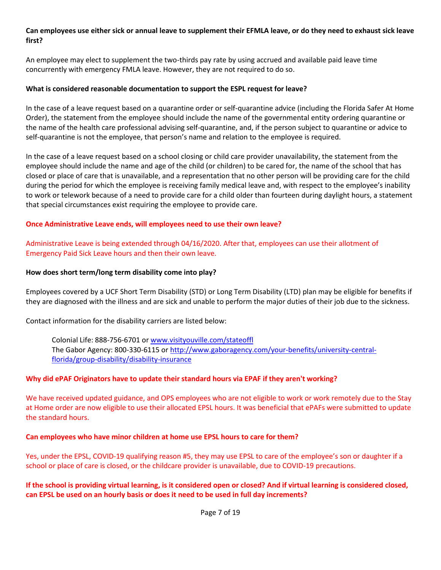#### **Can employees use either sick or annual leave to supplement their EFMLA leave, or do they need to exhaust sick leave first?**

An employee may elect to supplement the two-thirds pay rate by using accrued and available paid leave time concurrently with emergency FMLA leave. However, they are not required to do so.

#### **What is considered reasonable documentation to support the ESPL request for leave?**

In the case of a leave request based on a quarantine order or self-quarantine advice (including the Florida Safer At Home Order), the statement from the employee should include the name of the governmental entity ordering quarantine or the name of the health care professional advising self-quarantine, and, if the person subject to quarantine or advice to self-quarantine is not the employee, that person's name and relation to the employee is required.

In the case of a leave request based on a school closing or child care provider unavailability, the statement from the employee should include the name and age of the child (or children) to be cared for, the name of the school that has closed or place of care that is unavailable, and a representation that no other person will be providing care for the child during the period for which the employee is receiving family medical leave and, with respect to the employee's inability to work or telework because of a need to provide care for a child older than fourteen during daylight hours, a statement that special circumstances exist requiring the employee to provide care.

#### **Once Administrative Leave ends, will employees need to use their own leave?**

Administrative Leave is being extended through 04/16/2020. After that, employees can use their allotment of Emergency Paid Sick Leave hours and then their own leave.

#### **How does short term/long term disability come into play?**

Employees covered by a UCF Short Term Disability (STD) or Long Term Disability (LTD) plan may be eligible for benefits if they are diagnosed with the illness and are sick and unable to perform the major duties of their job due to the sickness.

Contact information for the disability carriers are listed below:

Colonial Life: 888-756-6701 or [www.visityouville.com/stateoffl](https://nam02.safelinks.protection.outlook.com/?url=http%3A%2F%2Fwww.visityouville.com%2Fstateoffl&data=02%7C01%7CElizabeth.Richner%40ucf.edu%7C5e29c2a9e5744299360208d7d7035afc%7Cbb932f15ef3842ba91fcf3c59d5dd1f1%7C0%7C0%7C637214281750256121&sdata=rTIfxWDpwGEp2Yo9cXjI8lSw4ZuvaQjB6EuU3ZfsiDg%3D&reserved=0) The Gabor Agency: 800-330-6115 or [http://www.gaboragency.com/your-benefits/university-central](https://nam02.safelinks.protection.outlook.com/?url=http%3A%2F%2Fwww.gaboragency.com%2Fyour-benefits%2Funiversity-central-florida%2Fgroup-disability%2Fdisability-insurance&data=02%7C01%7CElizabeth.Richner%40ucf.edu%7C5e29c2a9e5744299360208d7d7035afc%7Cbb932f15ef3842ba91fcf3c59d5dd1f1%7C0%7C0%7C637214281750266122&sdata=8dW6lLekon9LzOX8WgDcxUit0S9Z%2BM4UfIFDppigeR8%3D&reserved=0)[florida/group-disability/disability-insurance](https://nam02.safelinks.protection.outlook.com/?url=http%3A%2F%2Fwww.gaboragency.com%2Fyour-benefits%2Funiversity-central-florida%2Fgroup-disability%2Fdisability-insurance&data=02%7C01%7CElizabeth.Richner%40ucf.edu%7C5e29c2a9e5744299360208d7d7035afc%7Cbb932f15ef3842ba91fcf3c59d5dd1f1%7C0%7C0%7C637214281750266122&sdata=8dW6lLekon9LzOX8WgDcxUit0S9Z%2BM4UfIFDppigeR8%3D&reserved=0)

#### **Why did ePAF Originators have to update their standard hours via EPAF if they aren't working?**

We have received updated guidance, and OPS employees who are not eligible to work or work remotely due to the Stay at Home order are now eligible to use their allocated EPSL hours. It was beneficial that ePAFs were submitted to update the standard hours.

#### **Can employees who have minor children at home use EPSL hours to care for them?**

Yes, under the EPSL, COVID-19 qualifying reason #5, they may use EPSL to care of the employee's son or daughter if a school or place of care is closed, or the childcare provider is unavailable, due to COVID-19 precautions.

#### **If the school is providing virtual learning, is it considered open or closed? And if virtual learning is considered closed, can EPSL be used on an hourly basis or does it need to be used in full day increments?**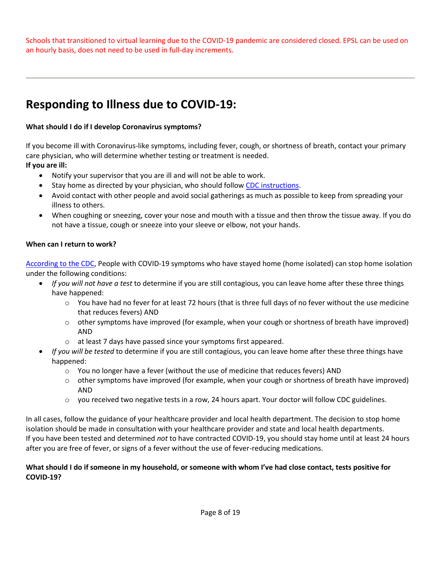Schools that transitioned to virtual learning due to the COVID-19 pandemic are considered closed. EPSL can be used on an hourly basis, does not need to be used in full-day increments.

## **Responding to Illness due to COVID-19:**

## **What should I do if I develop Coronavirus symptoms?**

If you become ill with Coronavirus-like symptoms, including fever, cough, or shortness of breath, contact your primary care physician, who will determine whether testing or treatment is needed. **If you are ill:**

- Notify your supervisor that you are ill and will not be able to work.
- Stay home as directed by your physician, who should follow [CDC instructions.](https://www.cdc.gov/coronavirus/2019-ncov/if-you-are-sick/steps-when-sick.html)
- Avoid contact with other people and avoid social gatherings as much as possible to keep from spreading your illness to others.
- When coughing or sneezing, cover your nose and mouth with a tissue and then throw the tissue away. If you do not have a tissue, cough or sneeze into your sleeve or elbow, not your hands.

#### **When can I return to work?**

[According to](https://www.cdc.gov/coronavirus/2019-ncov/if-you-are-sick/care-for-someone.html) the CDC, People with COVID-19 symptoms who have stayed home (home isolated) can stop home isolation under the following conditions:

- *If you will not have a test* to determine if you are still contagious, you can leave home after these three things have happened:
	- $\circ$  You have had no fever for at least 72 hours (that is three full days of no fever without the use medicine that reduces fevers) AND
	- $\circ$  other symptoms have improved (for example, when your cough or shortness of breath have improved) AND
	- o at least 7 days have passed since your symptoms first appeared.
- *If you will be tested* to determine if you are still contagious, you can leave home after these three things have happened:
	- $\circ$  You no longer have a fever (without the use of medicine that reduces fevers) AND
	- $\circ$  other symptoms have improved (for example, when your cough or shortness of breath have improved) AND
	- $\circ$  you received two negative tests in a row, 24 hours apart. Your doctor will follow CDC guidelines.

In all cases, follow the guidance of your healthcare provider and local health department. The decision to stop home isolation should be made in consultation with your healthcare provider and state and local health departments. If you have been tested and determined *not* to have contracted COVID-19, you should stay home until at least 24 hours after you are free of fever, or signs of a fever without the use of fever-reducing medications.

#### **What should I do if someone in my household, or someone with whom I've had close contact, tests positive for COVID-19?**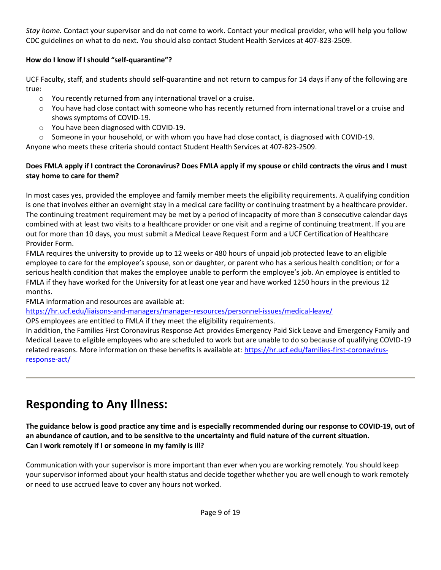*Stay home.* Contact your supervisor and do not come to work. Contact your medical provider, who will help you follow CDC guidelines on what to do next. You should also contact Student Health Services at 407-823-2509.

## **How do I know if I should "self-quarantine"?**

UCF Faculty, staff, and students should self-quarantine and not return to campus for 14 days if any of the following are true:

- o You recently returned from any international travel or a cruise.
- o You have had close contact with someone who has recently returned from international travel or a cruise and shows symptoms of COVID-19.
- o You have been diagnosed with COVID-19.
- $\circ$  Someone in your household, or with whom you have had close contact, is diagnosed with COVID-19.

Anyone who meets these criteria should contact Student Health Services at 407-823-2509.

## **Does FMLA apply if I contract the Coronavirus? Does FMLA apply if my spouse or child contracts the virus and I must stay home to care for them?**

In most cases yes, provided the employee and family member meets the eligibility requirements. A qualifying condition is one that involves either an overnight stay in a medical care facility or continuing treatment by a healthcare provider. The continuing treatment requirement may be met by a period of incapacity of more than 3 consecutive calendar days combined with at least two visits to a healthcare provider or one visit and a regime of continuing treatment. If you are out for more than 10 days, you must submit a Medical Leave Request Form and a UCF Certification of Healthcare Provider Form.

FMLA requires the university to provide up to 12 weeks or 480 hours of unpaid job protected leave to an eligible employee to care for the employee's spouse, son or daughter, or parent who has a serious health condition; or for a serious health condition that makes the employee unable to perform the employee's job. An employee is entitled to FMLA if they have worked for the University for at least one year and have worked 1250 hours in the previous 12 months.

FMLA information and resources are available at:

## <https://hr.ucf.edu/liaisons-and-managers/manager-resources/personnel-issues/medical-leave/>

OPS employees are entitled to FMLA if they meet the eligibility requirements.

In addition, the Families First Coronavirus Response Act provides Emergency Paid Sick Leave and Emergency Family and Medical Leave to eligible employees who are scheduled to work but are unable to do so because of qualifying COVID-19 related reasons. More information on these benefits is available at: [https://hr.ucf.edu/families-first-coronavirus](https://hr.ucf.edu/families-first-coronavirus-response-act/)[response-act/](https://hr.ucf.edu/families-first-coronavirus-response-act/)

## **Responding to Any Illness:**

#### **The guidance below is good practice any time and is especially recommended during our response to COVID-19, out of an abundance of caution, and to be sensitive to the uncertainty and fluid nature of the current situation. Can I work remotely if I or someone in my family is ill?**

Communication with your supervisor is more important than ever when you are working remotely. You should keep your supervisor informed about your health status and decide together whether you are well enough to work remotely or need to use accrued leave to cover any hours not worked.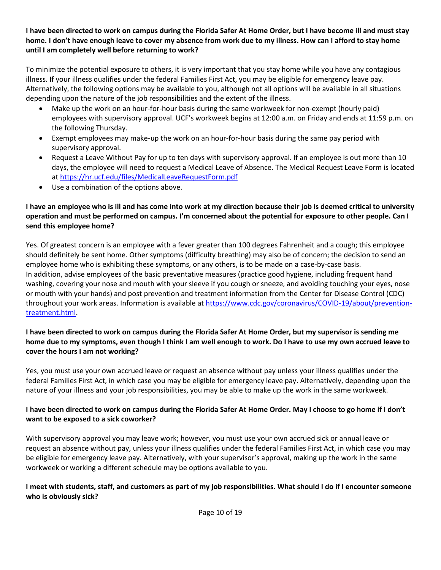#### **I have been directed to work on campus during the Florida Safer At Home Order, but I have become ill and must stay home. I don't have enough leave to cover my absence from work due to my illness. How can I afford to stay home until I am completely well before returning to work?**

To minimize the potential exposure to others, it is very important that you stay home while you have any contagious illness. If your illness qualifies under the federal Families First Act, you may be eligible for emergency leave pay. Alternatively, the following options may be available to you, although not all options will be available in all situations depending upon the nature of the job responsibilities and the extent of the illness.

- Make up the work on an hour-for-hour basis during the same workweek for non-exempt (hourly paid) employees with supervisory approval. UCF's workweek begins at 12:00 a.m. on Friday and ends at 11:59 p.m. on the following Thursday.
- Exempt employees may make-up the work on an hour-for-hour basis during the same pay period with supervisory approval.
- Request a Leave Without Pay for up to ten days with supervisory approval. If an employee is out more than 10 days, the employee will need to request a Medical Leave of Absence. The Medical Request Leave Form is located at <https://hr.ucf.edu/files/MedicalLeaveRequestForm.pdf>
- Use a combination of the options above.

## **I have an employee who is ill and has come into work at my direction because their job is deemed critical to university operation and must be performed on campus. I'm concerned about the potential for exposure to other people. Can I send this employee home?**

Yes. Of greatest concern is an employee with a fever greater than 100 degrees Fahrenheit and a cough; this employee should definitely be sent home. Other symptoms (difficulty breathing) may also be of concern; the decision to send an employee home who is exhibiting these symptoms, or any others, is to be made on a case-by-case basis. In addition, advise employees of the basic preventative measures (practice good hygiene, including frequent hand washing, covering your nose and mouth with your sleeve if you cough or sneeze, and avoiding touching your eyes, nose or mouth with your hands) and post prevention and treatment information from the Center for Disease Control (CDC) throughout your work areas. Information is available a[t https://www.cdc.gov/coronavirus/COVID-19/about/prevention](https://www.cdc.gov/coronavirus/2019-ncov/about/prevention-treatment.html)[treatment.html.](https://www.cdc.gov/coronavirus/2019-ncov/about/prevention-treatment.html)

## **I have been directed to work on campus during the Florida Safer At Home Order, but my supervisor is sending me home due to my symptoms, even though I think I am well enough to work. Do I have to use my own accrued leave to cover the hours I am not working?**

Yes, you must use your own accrued leave or request an absence without pay unless your illness qualifies under the federal Families First Act, in which case you may be eligible for emergency leave pay. Alternatively, depending upon the nature of your illness and your job responsibilities, you may be able to make up the work in the same workweek.

## **I have been directed to work on campus during the Florida Safer At Home Order. May I choose to go home if I don't want to be exposed to a sick coworker?**

With supervisory approval you may leave work; however, you must use your own accrued sick or annual leave or request an absence without pay, unless your illness qualifies under the federal Families First Act, in which case you may be eligible for emergency leave pay. Alternatively, with your supervisor's approval, making up the work in the same workweek or working a different schedule may be options available to you.

## **I meet with students, staff, and customers as part of my job responsibilities. What should I do if I encounter someone who is obviously sick?**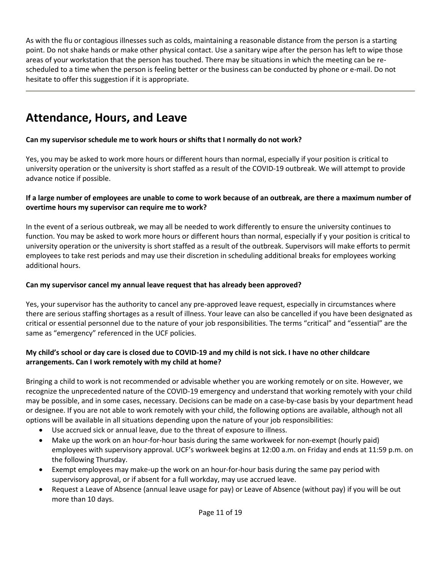As with the flu or contagious illnesses such as colds, maintaining a reasonable distance from the person is a starting point. Do not shake hands or make other physical contact. Use a sanitary wipe after the person has left to wipe those areas of your workstation that the person has touched. There may be situations in which the meeting can be rescheduled to a time when the person is feeling better or the business can be conducted by phone or e-mail. Do not hesitate to offer this suggestion if it is appropriate.

## **Attendance, Hours, and Leave**

## **Can my supervisor schedule me to work hours or shifts that I normally do not work?**

Yes, you may be asked to work more hours or different hours than normal, especially if your position is critical to university operation or the university is short staffed as a result of the COVID-19 outbreak. We will attempt to provide advance notice if possible.

#### **If a large number of employees are unable to come to work because of an outbreak, are there a maximum number of overtime hours my supervisor can require me to work?**

In the event of a serious outbreak, we may all be needed to work differently to ensure the university continues to function. You may be asked to work more hours or different hours than normal, especially if y your position is critical to university operation or the university is short staffed as a result of the outbreak. Supervisors will make efforts to permit employees to take rest periods and may use their discretion in scheduling additional breaks for employees working additional hours.

#### **Can my supervisor cancel my annual leave request that has already been approved?**

Yes, your supervisor has the authority to cancel any pre-approved leave request, especially in circumstances where there are serious staffing shortages as a result of illness. Your leave can also be cancelled if you have been designated as critical or essential personnel due to the nature of your job responsibilities. The terms "critical" and "essential" are the same as "emergency" referenced in the UCF policies.

## **My child's school or day care is closed due to COVID-19 and my child is not sick. I have no other childcare arrangements. Can I work remotely with my child at home?**

Bringing a child to work is not recommended or advisable whether you are working remotely or on site. However, we recognize the unprecedented nature of the COVID-19 emergency and understand that working remotely with your child may be possible, and in some cases, necessary. Decisions can be made on a case-by-case basis by your department head or designee. If you are not able to work remotely with your child, the following options are available, although not all options will be available in all situations depending upon the nature of your job responsibilities:

- Use accrued sick or annual leave, due to the threat of exposure to illness.
- Make up the work on an hour-for-hour basis during the same workweek for non-exempt (hourly paid) employees with supervisory approval. UCF's workweek begins at 12:00 a.m. on Friday and ends at 11:59 p.m. on the following Thursday.
- Exempt employees may make-up the work on an hour-for-hour basis during the same pay period with supervisory approval, or if absent for a full workday, may use accrued leave.
- Request a Leave of Absence (annual leave usage for pay) or Leave of Absence (without pay) if you will be out more than 10 days.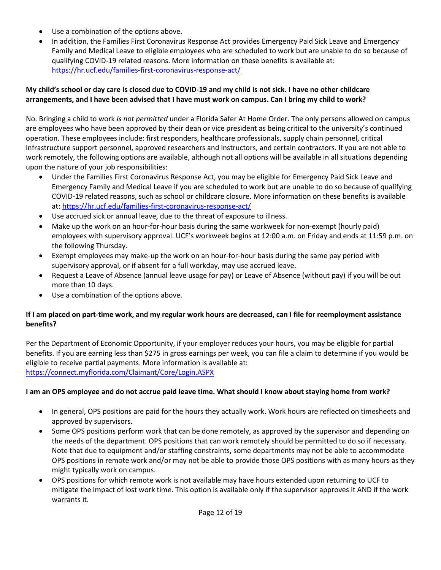- Use a combination of the options above.
- In addition, the Families First Coronavirus Response Act provides Emergency Paid Sick Leave and Emergency Family and Medical Leave to eligible employees who are scheduled to work but are unable to do so because of qualifying COVID-19 related reasons. More information on these benefits is available at: <https://hr.ucf.edu/families-first-coronavirus-response-act/>

## **My child's school or day care is closed due to COVID-19 and my child is not sick. I have no other childcare arrangements, and I have been advised that I have must work on campus. Can I bring my child to work?**

No. Bringing a child to work *is not permitted* under a Florida Safer At Home Order. The only persons allowed on campus are employees who have been approved by their dean or vice president as being critical to the university's continued operation. These employees include: first responders, healthcare professionals, supply chain personnel, critical infrastructure support personnel, approved researchers and instructors, and certain contractors. If you are not able to work remotely, the following options are available, although not all options will be available in all situations depending upon the nature of your job responsibilities:

- Under the Families First Coronavirus Response Act, you may be eligible for Emergency Paid Sick Leave and Emergency Family and Medical Leave if you are scheduled to work but are unable to do so because of qualifying COVID-19 related reasons, such as school or childcare closure. More information on these benefits is available at: <https://hr.ucf.edu/families-first-coronavirus-response-act/>
- Use accrued sick or annual leave, due to the threat of exposure to illness.
- Make up the work on an hour-for-hour basis during the same workweek for non-exempt (hourly paid) employees with supervisory approval. UCF's workweek begins at 12:00 a.m. on Friday and ends at 11:59 p.m. on the following Thursday.
- Exempt employees may make-up the work on an hour-for-hour basis during the same pay period with supervisory approval, or if absent for a full workday, may use accrued leave.
- Request a Leave of Absence (annual leave usage for pay) or Leave of Absence (without pay) if you will be out more than 10 days.
- Use a combination of the options above.

## **If I am placed on part-time work, and my regular work hours are decreased, can I file for reemployment assistance benefits?**

Per the Department of Economic Opportunity, if your employer reduces your hours, you may be eligible for partial benefits. If you are earning less than \$275 in gross earnings per week, you can file a claim to determine if you would be eligible to receive partial payments. More information is available at: <https://connect.myflorida.com/Claimant/Core/Login.ASPX>

## **I am an OPS employee and do not accrue paid leave time. What should I know about staying home from work?**

- In general, OPS positions are paid for the hours they actually work. Work hours are reflected on timesheets and approved by supervisors.
- Some OPS positions perform work that can be done remotely, as approved by the supervisor and depending on the needs of the department. OPS positions that can work remotely should be permitted to do so if necessary. Note that due to equipment and/or staffing constraints, some departments may not be able to accommodate OPS positions in remote work and/or may not be able to provide those OPS positions with as many hours as they might typically work on campus.
- OPS positions for which remote work is not available may have hours extended upon returning to UCF to mitigate the impact of lost work time. This option is available only if the supervisor approves it AND if the work warrants it.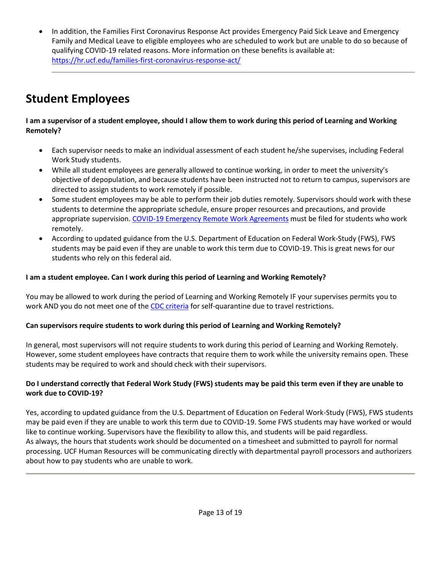• In addition, the Families First Coronavirus Response Act provides Emergency Paid Sick Leave and Emergency Family and Medical Leave to eligible employees who are scheduled to work but are unable to do so because of qualifying COVID-19 related reasons. More information on these benefits is available at: <https://hr.ucf.edu/families-first-coronavirus-response-act/>

## **Student Employees**

## **I am a supervisor of a student employee, should I allow them to work during this period of Learning and Working Remotely?**

- Each supervisor needs to make an individual assessment of each student he/she supervises, including Federal Work Study students.
- While all student employees are generally allowed to continue working, in order to meet the university's objective of depopulation, and because students have been instructed not to return to campus, supervisors are directed to assign students to work remotely if possible.
- Some student employees may be able to perform their job duties remotely. Supervisors should work with these students to determine the appropriate schedule, ensure proper resources and precautions, and provide appropriate supervision. [COVID-19 Emergency Remote Work Agreements](https://hr.ucf.edu/files/COVID19-Remote-Work-Procedure.pdf) must be filed for students who work remotely.
- According to updated guidance from the U.S. Department of Education on Federal Work-Study (FWS), FWS students may be paid even if they are unable to work this term due to COVID-19. This is great news for our students who rely on this federal aid.

## **I am a student employee. Can I work during this period of Learning and Working Remotely?**

You may be allowed to work during the period of Learning and Working Remotely IF your supervises permits you to work AND you do not meet one of the [CDC criteria](https://www.cdc.gov/coronavirus/2019-ncov/travelers/index.html) for self-quarantine due to travel restrictions.

## **Can supervisors require students to work during this period of Learning and Working Remotely?**

In general, most supervisors will not require students to work during this period of Learning and Working Remotely. However, some student employees have contracts that require them to work while the university remains open. These students may be required to work and should check with their supervisors.

## **Do I understand correctly that Federal Work Study (FWS) students may be paid this term even if they are unable to work due to COVID-19?**

Yes, according to updated guidance from the U.S. Department of Education on Federal Work-Study (FWS), FWS students may be paid even if they are unable to work this term due to COVID-19. Some FWS students may have worked or would like to continue working. Supervisors have the flexibility to allow this, and students will be paid regardless. As always, the hours that students work should be documented on a timesheet and submitted to payroll for normal processing. UCF Human Resources will be communicating directly with departmental payroll processors and authorizers about how to pay students who are unable to work.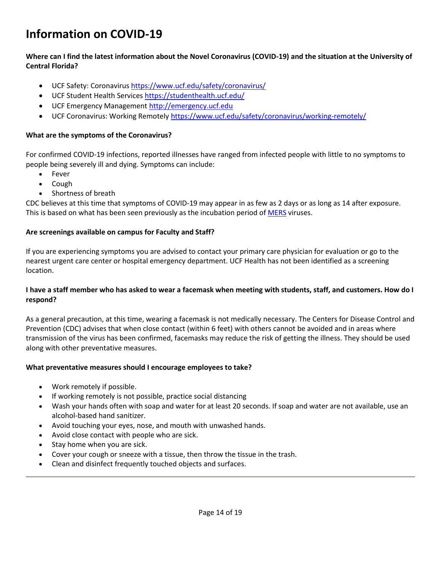## **Information on COVID-19**

#### **Where can I find the latest information about the Novel Coronavirus (COVID-19) and the situation at the University of Central Florida?**

- UCF Safety: Coronavirus<https://www.ucf.edu/safety/coronavirus/>
- UCF Student Health Services <https://studenthealth.ucf.edu/>
- UCF Emergency Management [http://emergency.ucf.edu](http://emergency.ucf.edu/)
- UCF Coronavirus: Working Remotely <https://www.ucf.edu/safety/coronavirus/working-remotely/>

#### **What are the symptoms of the Coronavirus?**

For confirmed COVID-19 infections, reported illnesses have ranged from infected people with little to no symptoms to people being severely ill and dying. Symptoms can include:

- Fever
- Cough
- Shortness of breath

CDC believes at this time that symptoms of COVID-19 may appear in as few as 2 days or as long as 14 after exposure. This is based on what has been seen previously as the incubation period of [MERS](https://www.cdc.gov/coronavirus/mers/index.html) viruses.

#### **Are screenings available on campus for Faculty and Staff?**

If you are experiencing symptoms you are advised to contact your primary care physician for evaluation or go to the nearest urgent care center or hospital emergency department. UCF Health has not been identified as a screening location.

#### **I have a staff member who has asked to wear a facemask when meeting with students, staff, and customers. How do I respond?**

As a general precaution, at this time, wearing a facemask is not medically necessary. The Centers for Disease Control and Prevention (CDC) advises that when close contact (within 6 feet) with others cannot be avoided and in areas where transmission of the virus has been confirmed, facemasks may reduce the risk of getting the illness. They should be used along with other preventative measures.

#### **What preventative measures should I encourage employees to take?**

- Work remotely if possible.
- If working remotely is not possible, practice social distancing
- Wash your hands often with soap and water for at least 20 seconds. If soap and water are not available, use an alcohol-based hand sanitizer.
- Avoid touching your eyes, nose, and mouth with unwashed hands.
- Avoid close contact with people who are sick.
- Stay home when you are sick.
- Cover your cough or sneeze with a tissue, then throw the tissue in the trash.
- Clean and disinfect frequently touched objects and surfaces.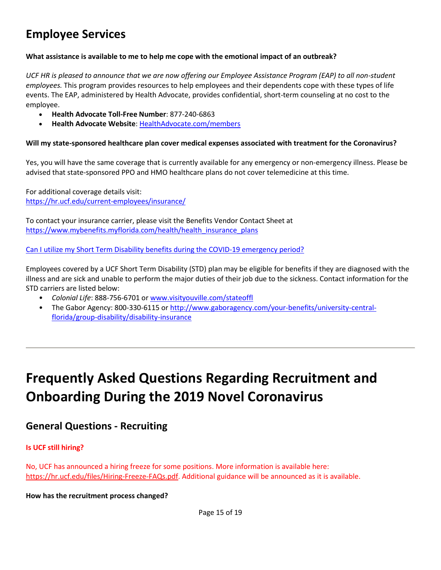## **Employee Services**

#### **What assistance is available to me to help me cope with the emotional impact of an outbreak?**

*UCF HR is pleased to announce that we are now offering our Employee Assistance Program (EAP) to all non-student employees.* This program provides resources to help employees and their dependents cope with these types of life events. The EAP, administered by Health Advocate, provides confidential, short-term counseling at no cost to the employee.

- **Health Advocate Toll-Free Number**: 877-240-6863
- **Health Advocate Website**[: HealthAdvocate.com/members](https://members.healthadvocate.com/Account/OrganizationSearch)

#### **Will my state-sponsored healthcare plan cover medical expenses associated with treatment for the Coronavirus?**

Yes, you will have the same coverage that is currently available for any emergency or non-emergency illness. Please be advised that state-sponsored PPO and HMO healthcare plans do not cover telemedicine at this time.

For additional coverage details visit: <https://hr.ucf.edu/current-employees/insurance/>

To contact your insurance carrier, please visit the Benefits Vendor Contact Sheet at [https://www.mybenefits.myflorida.com/health/health\\_insurance\\_plans](https://www.mybenefits.myflorida.com/health/health_insurance_plans)

Can I utilize my Short Term Disability benefits during the COVID-19 emergency period?

Employees covered by a UCF Short Term Disability (STD) plan may be eligible for benefits if they are diagnosed with the illness and are sick and unable to perform the major duties of their job due to the sickness. Contact information for the STD carriers are listed below:

- *Colonial Life*: 888-756-6701 o[r www.visityouville.com/stateoffl](https://ucf.sharepoint.com/sites/UCFTeam-HR-Managers/Shared%20Documents/COVID-19%20Response/FAQ%20Drafts/HR%20COVID-19%20FAQs%20-%20General/www.visityouville.com/stateoffl)
- The Gabor Agency: 800-330-6115 or [http://www.gaboragency.com/your-benefits/university-central](http://www.gaboragency.com/your-benefits/university-central-florida/group-disability/disability-insurance)[florida/group-disability/disability-insurance](http://www.gaboragency.com/your-benefits/university-central-florida/group-disability/disability-insurance)

## **Frequently Asked Questions Regarding Recruitment and Onboarding During the 2019 Novel Coronavirus**

## **General Questions - Recruiting**

#### **Is UCF still hiring?**

No, UCF has announced a hiring freeze for some positions. More information is available here: [https://hr.ucf.edu/files/Hiring-Freeze-FAQs.pdf.](https://hr.ucf.edu/files/Hiring-Freeze-FAQs.pdf) Additional guidance will be announced as it is available.

**How has the recruitment process changed?**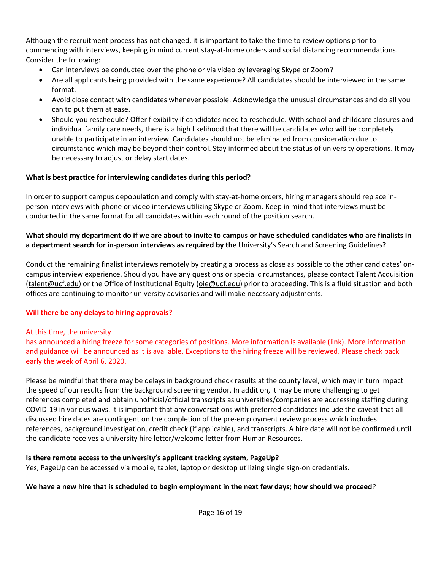Although the recruitment process has not changed, it is important to take the time to review options prior to commencing with interviews, keeping in mind current stay-at-home orders and social distancing recommendations. Consider the following:

- Can interviews be conducted over the phone or via video by leveraging Skype or Zoom?
- Are all applicants being provided with the same experience? All candidates should be interviewed in the same format.
- Avoid close contact with candidates whenever possible. Acknowledge the unusual circumstances and do all you can to put them at ease.
- Should you reschedule? Offer flexibility if candidates need to reschedule. With school and childcare closures and individual family care needs, there is a high likelihood that there will be candidates who will be completely unable to participate in an interview. Candidates should not be eliminated from consideration due to circumstance which may be beyond their control. Stay informed about the status of university operations. It may be necessary to adjust or delay start dates.

## **What is best practice for interviewing candidates during this period?**

In order to support campus depopulation and comply with stay-at-home orders, hiring managers should replace inperson interviews with phone or video interviews utilizing Skype or Zoom. Keep in mind that interviews must be conducted in the same format for all candidates within each round of the position search.

## **What should my department do if we are about to invite to campus or have scheduled candidates who are finalists in a department search for in-person interviews as required by the** [University's Search and Screening Guidelines](https://www.oie.ucf.edu/documents/SearchScreeningGuidelines.pdf)**?**

Conduct the remaining finalist interviews remotely by creating a process as close as possible to the other candidates' oncampus interview experience. Should you have any questions or special circumstances, please contact Talent Acquisition [\(talent@ucf.edu\)](mailto:talent@ucf.edu) or the Office of Institutional Equity [\(oie@ucf.edu\)](mailto:oie@ucf.edu) prior to proceeding. This is a fluid situation and both offices are continuing to monitor university advisories and will make necessary adjustments.

## **Will there be any delays to hiring approvals?**

## At this time, the university

has announced a hiring freeze for some categories of positions. More information is available (link). More information and guidance will be announced as it is available. Exceptions to the hiring freeze will be reviewed. Please check back early the week of April 6, 2020.

Please be mindful that there may be delays in background check results at the county level, which may in turn impact the speed of our results from the background screening vendor. In addition, it may be more challenging to get references completed and obtain unofficial/official transcripts as universities/companies are addressing staffing during COVID-19 in various ways. It is important that any conversations with preferred candidates include the caveat that all discussed hire dates are contingent on the completion of the pre-employment review process which includes references, background investigation, credit check (if applicable), and transcripts. A hire date will not be confirmed until the candidate receives a university hire letter/welcome letter from Human Resources.

## **Is there remote access to the university's applicant tracking system, PageUp?**

Yes, PageUp can be accessed via mobile, tablet, laptop or desktop utilizing single sign-on credentials.

## **We have a new hire that is scheduled to begin employment in the next few days; how should we proceed**?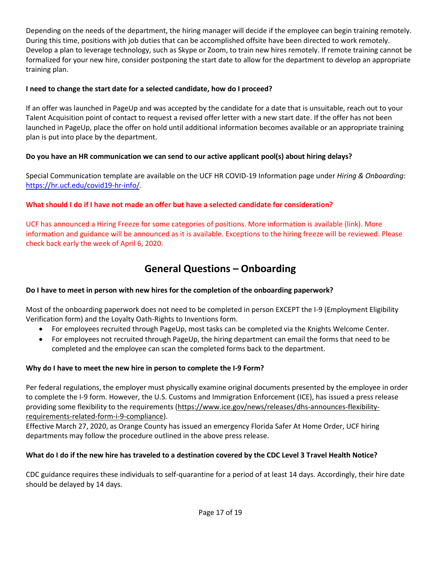Depending on the needs of the department, the hiring manager will decide if the employee can begin training remotely. During this time, positions with job duties that can be accomplished offsite have been directed to work remotely. Develop a plan to leverage technology, such as Skype or Zoom, to train new hires remotely. If remote training cannot be formalized for your new hire, consider postponing the start date to allow for the department to develop an appropriate training plan.

## **I need to change the start date for a selected candidate, how do I proceed?**

If an offer was launched in PageUp and was accepted by the candidate for a date that is unsuitable, reach out to your Talent Acquisition point of contact to request a revised offer letter with a new start date. If the offer has not been launched in PageUp, place the offer on hold until additional information becomes available or an appropriate training plan is put into place by the department.

## **Do you have an HR communication we can send to our active applicant pool(s) about hiring delays?**

Special Communication template are available on the UCF HR COVID-19 Information page under *Hiring & Onboarding*: <https://hr.ucf.edu/covid19-hr-info/>*.*

## **What should I do if I have not made an offer but have a selected candidate for consideration?**

UCF has announced a Hiring Freeze for some categories of positions. More information is available (link). More information and guidance will be announced as it is available. Exceptions to the hiring freeze will be reviewed. Please check back early the week of April 6, 2020.

## **General Questions – Onboarding**

## **Do I have to meet in person with new hires for the completion of the onboarding paperwork?**

Most of the onboarding paperwork does not need to be completed in person EXCEPT the I-9 (Employment Eligibility Verification form) and the Loyalty Oath-Rights to Inventions form.

- For employees recruited through PageUp, most tasks can be completed via the Knights Welcome Center.
- For employees not recruited through PageUp, the hiring department can email the forms that need to be completed and the employee can scan the completed forms back to the department.

## **Why do I have to meet the new hire in person to complete the I-9 Form?**

Per federal regulations, the employer must physically examine original documents presented by the employee in order to complete the I-9 form. However, the U.S. Customs and Immigration Enforcement (ICE), has issued a press release providing some flexibility to the requirements [\(https://www.ice.gov/news/releases/dhs-announces-flexibility](https://www.ice.gov/news/releases/dhs-announces-flexibility-requirements-related-form-i-9-compliance)[requirements-related-form-i-9-compliance\)](https://www.ice.gov/news/releases/dhs-announces-flexibility-requirements-related-form-i-9-compliance).

Effective March 27, 2020, as Orange County has issued an emergency Florida Safer At Home Order, UCF hiring departments may follow the procedure outlined in the above press release.

## **What do I do if the new hire has traveled to a destination covered by the CDC Level 3 Travel Health Notice?**

CDC guidance requires these individuals to self-quarantine for a period of at least 14 days. Accordingly, their hire date should be delayed by 14 days.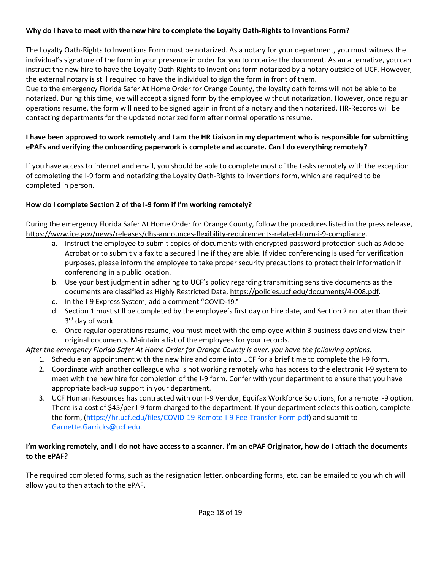#### **Why do I have to meet with the new hire to complete the Loyalty Oath-Rights to Inventions Form?**

The Loyalty Oath-Rights to Inventions Form must be notarized. As a notary for your department, you must witness the individual's signature of the form in your presence in order for you to notarize the document. As an alternative, you can instruct the new hire to have the Loyalty Oath-Rights to Inventions form notarized by a notary outside of UCF. However, the external notary is still required to have the individual to sign the form in front of them.

Due to the emergency Florida Safer At Home Order for Orange County, the loyalty oath forms will not be able to be notarized. During this time, we will accept a signed form by the employee without notarization. However, once regular operations resume, the form will need to be signed again in front of a notary and then notarized. HR-Records will be contacting departments for the updated notarized form after normal operations resume.

## **I have been approved to work remotely and I am the HR Liaison in my department who is responsible for submitting ePAFs and verifying the onboarding paperwork is complete and accurate. Can I do everything remotely?**

If you have access to internet and email, you should be able to complete most of the tasks remotely with the exception of completing the I-9 form and notarizing the Loyalty Oath-Rights to Inventions form, which are required to be completed in person.

## **How do I complete Section 2 of the I-9 form if I'm working remotely?**

During the emergency Florida Safer At Home Order for Orange County, follow the procedures listed in the press release, [https://www.ice.gov/news/releases/dhs-announces-flexibility-requirements-related-form-i-9-compliance.](https://www.ice.gov/news/releases/dhs-announces-flexibility-requirements-related-form-i-9-compliance)

- a. Instruct the employee to submit copies of documents with encrypted password protection such as Adobe Acrobat or to submit via fax to a secured line if they are able. If video conferencing is used for verification purposes, please inform the employee to take proper security precautions to protect their information if conferencing in a public location.
- b. Use your best judgment in adhering to UCF's policy regarding transmitting sensitive documents as the documents are classified as Highly Restricted Data, [https://policies.ucf.edu/documents/4-008.pdf.](https://policies.ucf.edu/documents/4-008.pdf)
- c. In the I-9 Express System, add a comment "COVID-19."
- d. Section 1 must still be completed by the employee's first day or hire date, and Section 2 no later than their 3<sup>rd</sup> day of work.
- e. Once regular operations resume, you must meet with the employee within 3 business days and view their original documents. Maintain a list of the employees for your records.

*After the emergency Florida Safer At Home Order for Orange County is over, you have the following options.* 

- 1. Schedule an appointment with the new hire and come into UCF for a brief time to complete the I-9 form.
- 2. Coordinate with another colleague who is not working remotely who has access to the electronic I-9 system to meet with the new hire for completion of the I-9 form. Confer with your department to ensure that you have appropriate back-up support in your department.
- 3. UCF Human Resources has contracted with our I-9 Vendor, Equifax Workforce Solutions, for a remote I-9 option. There is a cost of \$45/per I-9 form charged to the department. If your department selects this option, complete the form, [\(https://hr.ucf.edu/files/COVID-19-Remote-I-9-Fee-Transfer-Form.pdf\)](https://hr.ucf.edu/files/COVID-19-Remote-I-9-Fee-Transfer-Form.pdf) and submit to [Garnette.Garricks@ucf.edu.](mailto:Garnette.Garricks@ucf.edu)

#### **I'm working remotely, and I do not have access to a scanner. I'm an ePAF Originator, how do I attach the documents to the ePAF?**

The required completed forms, such as the resignation letter, onboarding forms, etc. can be emailed to you which will allow you to then attach to the ePAF.